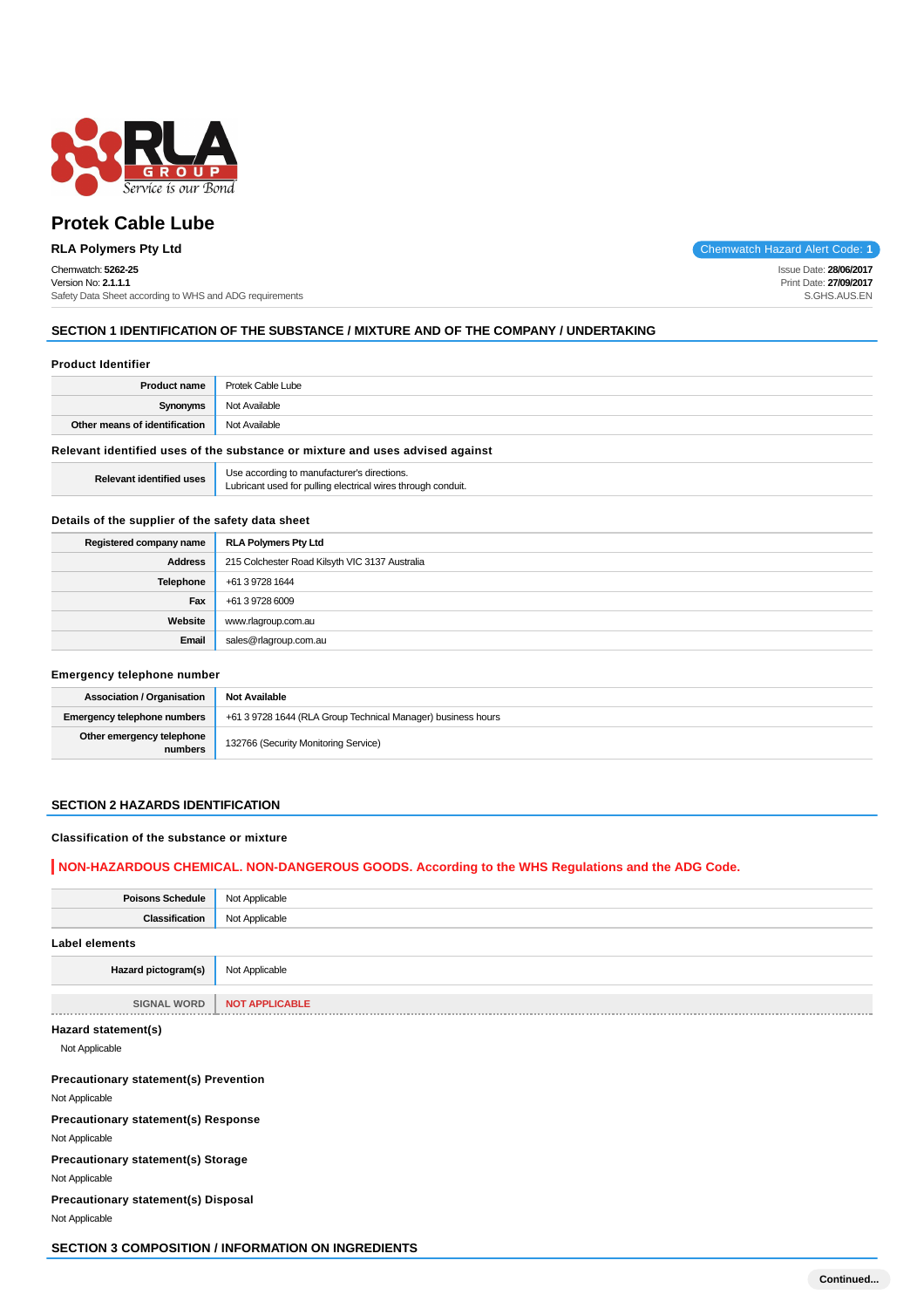

# **Protek Cable Lube**

# Chemwatch: **5262-25**

Version No: **2.1.1.1** Safety Data Sheet according to WHS and ADG requirements

**RLA Polymers Pty Ltd** Chemwatch Hazard Alert Code: **1**

Issue Date: **28/06/2017** Print Date: **27/09/2017** S.GHS.AUS.EN

# **SECTION 1 IDENTIFICATION OF THE SUBSTANCE / MIXTURE AND OF THE COMPANY / UNDERTAKING**

#### **Product Identifier**

| <b>Product name</b>                                                           | Protek Cable Lube |  |  |  |
|-------------------------------------------------------------------------------|-------------------|--|--|--|
| Synonyms                                                                      | Not Available     |  |  |  |
| Other means of identification                                                 | Not Available     |  |  |  |
| Relevant identified uses of the substance or mixture and uses advised against |                   |  |  |  |

**Relevant identified uses** Use according to manufacturer's directions. Lubricant used for pulling electrical wires through conduit.

# **Details of the supplier of the safety data sheet**

| Registered company name | <b>RLA Polymers Pty Ltd</b>                    |
|-------------------------|------------------------------------------------|
| <b>Address</b>          | 215 Colchester Road Kilsyth VIC 3137 Australia |
| Telephone               | +61 3 9728 1644                                |
| Fax                     | +61 3 9728 6009                                |
| Website                 | www.rlagroup.com.au                            |
| Email                   | sales@rlagroup.com.au                          |

#### **Emergency telephone number**

| <b>Association / Organisation</b>    | <b>Not Available</b>                                         |
|--------------------------------------|--------------------------------------------------------------|
| <b>Emergency telephone numbers</b>   | +61 3 9728 1644 (RLA Group Technical Manager) business hours |
| Other emergency telephone<br>numbers | 132766 (Security Monitoring Service)                         |

## **SECTION 2 HAZARDS IDENTIFICATION**

#### **Classification of the substance or mixture**

# **NON-HAZARDOUS CHEMICAL. NON-DANGEROUS GOODS. According to the WHS Regulations and the ADG Code.**

| <b>Poisons Schedule</b> | Not Applicable        |
|-------------------------|-----------------------|
| Classification          | Not Applicable        |
| <b>Label elements</b>   |                       |
| Hazard pictogram(s)     | Not Applicable        |
|                         |                       |
| <b>SIGNAL WORD</b>      | <b>NOT APPLICABLE</b> |
|                         |                       |
| Hazard statement(s)     |                       |

#### Not Applicable

## **Precautionary statement(s) Prevention**

Not Applicable

**Precautionary statement(s) Response**

Not Applicable

# **Precautionary statement(s) Storage**

Not Applicable

**Precautionary statement(s) Disposal**

Not Applicable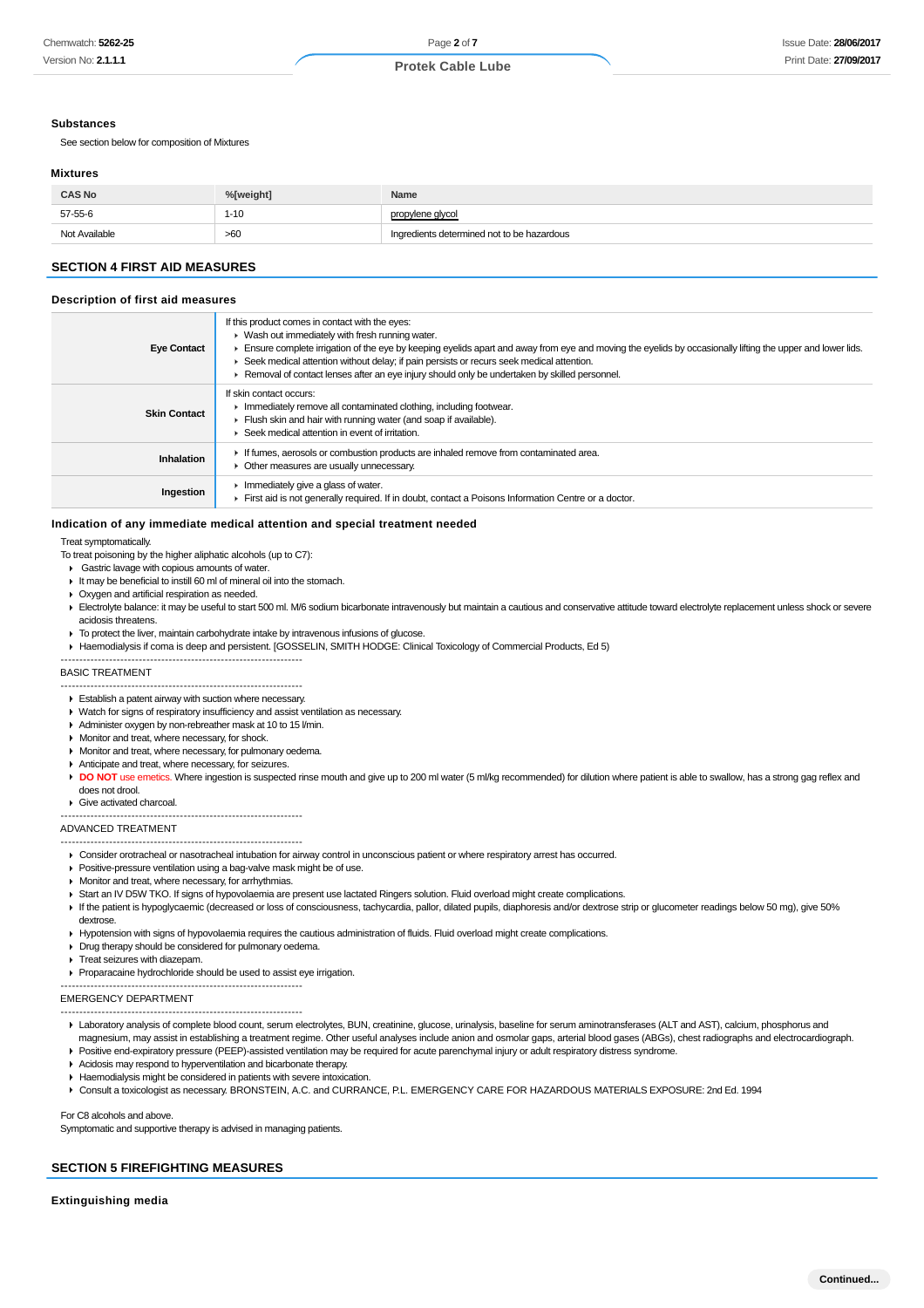#### **Substances**

See section below for composition of Mixtures

#### **Mixtures**

| <b>CAS No</b> | %[weight] | Name                                       |
|---------------|-----------|--------------------------------------------|
| 57-55-6       | $1 - 10$  | propylene glycol                           |
| Not Available | >60       | Ingredients determined not to be hazardous |

# **SECTION 4 FIRST AID MEASURES**

#### **Description of first aid measures**

| <b>Eye Contact</b>  | If this product comes in contact with the eyes:<br>• Wash out immediately with fresh running water.<br>Ensure complete irrigation of the eye by keeping eyelids apart and away from eye and moving the eyelids by occasionally lifting the upper and lower lids.<br>► Seek medical attention without delay; if pain persists or recurs seek medical attention.<br>Removal of contact lenses after an eye injury should only be undertaken by skilled personnel. |
|---------------------|-----------------------------------------------------------------------------------------------------------------------------------------------------------------------------------------------------------------------------------------------------------------------------------------------------------------------------------------------------------------------------------------------------------------------------------------------------------------|
| <b>Skin Contact</b> | If skin contact occurs:<br>Immediately remove all contaminated clothing, including footwear.<br>Flush skin and hair with running water (and soap if available).<br>Seek medical attention in event of irritation.                                                                                                                                                                                                                                               |
| Inhalation          | If fumes, aerosols or combustion products are inhaled remove from contaminated area.<br>Other measures are usually unnecessary.                                                                                                                                                                                                                                                                                                                                 |
| Ingestion           | Immediately give a glass of water.<br>First aid is not generally required. If in doubt, contact a Poisons Information Centre or a doctor.                                                                                                                                                                                                                                                                                                                       |

## **Indication of any immediate medical attention and special treatment needed**

Treat symptomatically.

- To treat poisoning by the higher aliphatic alcohols (up to C7):
- Gastric lavage with copious amounts of water
- $\blacksquare$  It may be beneficial to instill 60 ml of mineral oil into the stomach.
- Oxygen and artificial respiration as needed.
- Electrolyte balance: it may be useful to start 500 ml. M/6 sodium bicarbonate intravenously but maintain a cautious and conservative attitude toward electrolyte replacement unless shock or severe acidosis threatens.
- ▶ To protect the liver, maintain carbohydrate intake by intravenous infusions of glucose.
- Haemodialysis if coma is deep and persistent. [GOSSELIN, SMITH HODGE: Clinical Toxicology of Commercial Products, Ed 5)

#### ----------------------------------------------------------------- BASIC TREATMENT

- ----------------------------------------------------------------- Establish a patent airway with suction where necessary.
- Watch for signs of respiratory insufficiency and assist ventilation as necessary.
- Administer oxygen by non-rebreather mask at 10 to 15 l/min.
- **Monitor and treat, where necessary, for shock.**
- **Monitor and treat, where necessary, for pulmonary oedema.**
- Anticipate and treat, where necessary, for seizures.
- DO NOT use emetics. Where ingestion is suspected rinse mouth and give up to 200 ml water (5 ml/kg recommended) for dilution where patient is able to swallow, has a strong gag reflex and does not drool.
- Give activated charcoal.
- -----------------------------------------------------------------

#### ADVANCED TREATMENT

- ----------------------------------------------------------------- Consider orotracheal or nasotracheal intubation for airway control in unconscious patient or where respiratory arrest has occurred.
- Positive-pressure ventilation using a bag-valve mask might be of use.
- **Monitor and treat, where necessary, for arrhythmias.**
- Start an IV D5W TKO. If signs of hypovolaemia are present use lactated Ringers solution. Fluid overload might create complications.
- If the patient is hypoglycaemic (decreased or loss of consciousness, tachycardia, pallor, dilated pupils, diaphoresis and/or dextrose strip or glucometer readings below 50 mg), give 50% dextrose.
- Hypotension with signs of hypovolaemia requires the cautious administration of fluids. Fluid overload might create complications.
- Drug therapy should be considered for pulmonary oedema.
- **Treat seizures with diazepam.**
- Proparacaine hydrochloride should be used to assist eye irrigation.
- ----------------------------------------------------------------- EMERGENCY DEPARTMENT
- -----------------------------------------------------------------
- Laboratory analysis of complete blood count, serum electrolytes, BUN, creatinine, glucose, urinalysis, baseline for serum aminotransferases (ALT and AST), calcium, phosphorus and magnesium, may assist in establishing a treatment regime. Other useful analyses include anion and osmolar gaps, arterial blood gases (ABGs), chest radiographs and electrocardiograph. Positive end-expiratory pressure (PEEP)-assisted ventilation may be required for acute parenchymal injury or adult respiratory distress syndrome.
- Acidosis may respond to hyperventilation and bicarbonate therapy.
- Haemodialysis might be considered in patients with severe intoxication.
- Consult a toxicologist as necessary. BRONSTEIN, A.C. and CURRANCE, P.L. EMERGENCY CARE FOR HAZARDOUS MATERIALS EXPOSURE: 2nd Ed. 1994

For C8 alcohols and above.

Symptomatic and supportive therapy is advised in managing patients.

## **SECTION 5 FIREFIGHTING MEASURES**

**Extinguishing media**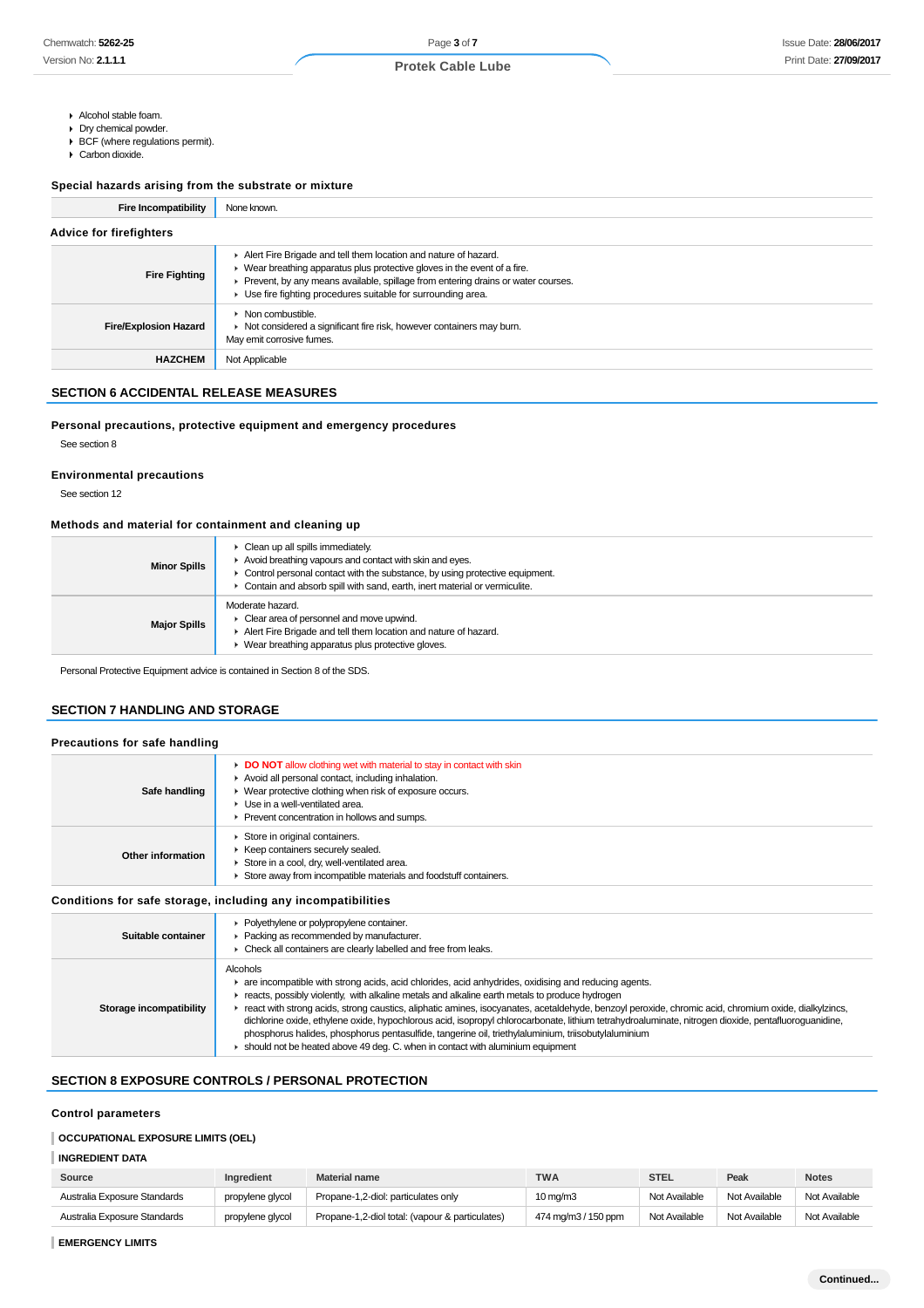- Alcohol stable foam.
- Drv chemical powder.
- BCF (where regulations permit). Carbon dioxide.

## **Special hazards arising from the substrate or mixture**

| <b>Fire Incompatibility</b>    | None known.                                                                                                                                                                                                                                                                                       |
|--------------------------------|---------------------------------------------------------------------------------------------------------------------------------------------------------------------------------------------------------------------------------------------------------------------------------------------------|
| <b>Advice for firefighters</b> |                                                                                                                                                                                                                                                                                                   |
| <b>Fire Fighting</b>           | Alert Fire Brigade and tell them location and nature of hazard.<br>• Wear breathing apparatus plus protective gloves in the event of a fire.<br>Prevent, by any means available, spillage from entering drains or water courses.<br>• Use fire fighting procedures suitable for surrounding area. |
| <b>Fire/Explosion Hazard</b>   | $\triangleright$ Non combustible.<br>• Not considered a significant fire risk, however containers may burn.<br>May emit corrosive fumes.                                                                                                                                                          |
| <b>HAZCHEM</b>                 | Not Applicable                                                                                                                                                                                                                                                                                    |

## **SECTION 6 ACCIDENTAL RELEASE MEASURES**

#### **Personal precautions, protective equipment and emergency procedures**

See section 8

#### **Environmental precautions**

See section 12

# **Methods and material for containment and cleaning up**

| <b>Minor Spills</b> | • Clean up all spills immediately.<br>Avoid breathing vapours and contact with skin and eyes.<br>Control personal contact with the substance, by using protective equipment.<br>• Contain and absorb spill with sand, earth, inert material or vermiculite. |
|---------------------|-------------------------------------------------------------------------------------------------------------------------------------------------------------------------------------------------------------------------------------------------------------|
| <b>Major Spills</b> | Moderate hazard.<br>• Clear area of personnel and move upwind.<br>Alert Fire Brigade and tell them location and nature of hazard.<br>Wear breathing apparatus plus protective gloves.                                                                       |

Personal Protective Equipment advice is contained in Section 8 of the SDS.

## **SECTION 7 HANDLING AND STORAGE**

# **Precautions for safe handling**

| Safe handling     | <b>DO NOT</b> allow clothing wet with material to stay in contact with skin<br>Avoid all personal contact, including inhalation.<br>• Wear protective clothing when risk of exposure occurs.<br>▶ Use in a well-ventilated area.<br>▶ Prevent concentration in hollows and sumps. |
|-------------------|-----------------------------------------------------------------------------------------------------------------------------------------------------------------------------------------------------------------------------------------------------------------------------------|
| Other information | Store in original containers.<br>▶ Keep containers securely sealed.<br>Store in a cool, dry, well-ventilated area.<br>Store away from incompatible materials and foodstuff containers.                                                                                            |

## **Conditions for safe storage, including any incompatibilities**

| Suitable container      | Polyethylene or polypropylene container.<br>• Packing as recommended by manufacturer.<br>Check all containers are clearly labelled and free from leaks.                                                                                                                                                                                                                                                                                                                                                                                                                                                                                                                                                                              |
|-------------------------|--------------------------------------------------------------------------------------------------------------------------------------------------------------------------------------------------------------------------------------------------------------------------------------------------------------------------------------------------------------------------------------------------------------------------------------------------------------------------------------------------------------------------------------------------------------------------------------------------------------------------------------------------------------------------------------------------------------------------------------|
| Storage incompatibility | Alcohols<br>are incompatible with strong acids, acid chlorides, acid anhydrides, oxidising and reducing agents.<br>reacts, possibly violently, with alkaline metals and alkaline earth metals to produce hydrogen<br>react with strong acids, strong caustics, aliphatic amines, isocyanates, acetaldehyde, benzoyl peroxide, chromic acid, chromium oxide, dialkylzincs,<br>dichlorine oxide, ethylene oxide, hypochlorous acid, isopropyl chlorocarbonate, lithium tetrahydroaluminate, nitrogen dioxide, pentafluoroguanidine,<br>phosphorus halides, phosphorus pentasulfide, tangerine oil, triethylaluminium, triisobutylaluminium<br>$\bullet$ should not be heated above 49 deg. C. when in contact with aluminium equipment |

# **SECTION 8 EXPOSURE CONTROLS / PERSONAL PROTECTION**

# **Control parameters**

#### **OCCUPATIONAL EXPOSURE LIMITS (OEL)**

## **INGREDIENT DATA**

| Source                       | Ingredient       | <b>Material name</b>                            | <b>TWA</b>          | <b>STEL</b>   | Peak          | <b>Notes</b>  |
|------------------------------|------------------|-------------------------------------------------|---------------------|---------------|---------------|---------------|
| Australia Exposure Standards | propylene glycol | Propane-1.2-diol: particulates only             | $10 \text{ mg/m}$   | Not Available | Not Available | Not Available |
| Australia Exposure Standards | propylene glycol | Propane-1,2-diol total: (vapour & particulates) | 474 mg/m3 / 150 ppm | Not Available | Not Available | Not Available |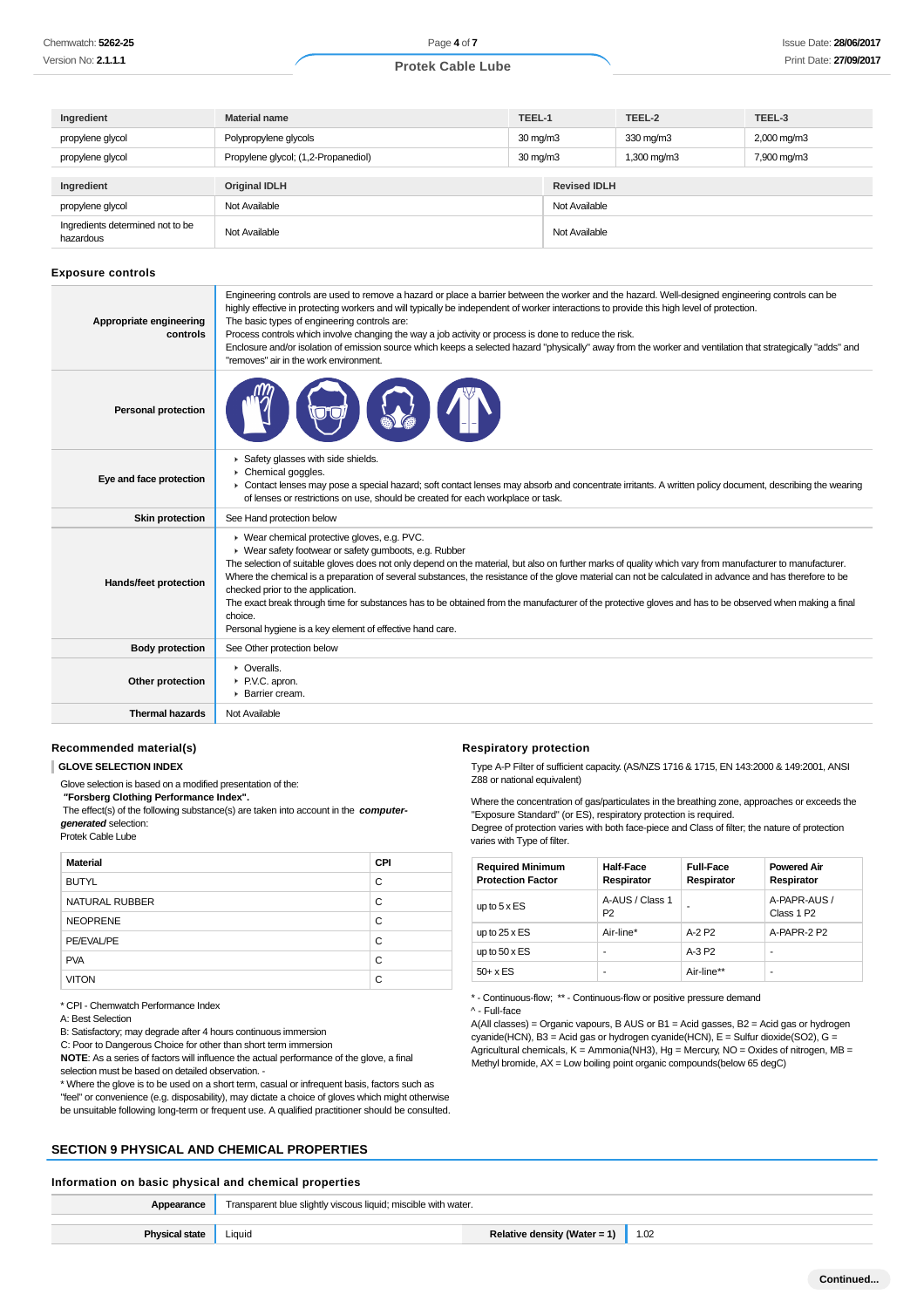| Ingredient                                    | <b>Material name</b>                |                      | TEEL-1              | TEEL-2      | TEEL-3                  |  |
|-----------------------------------------------|-------------------------------------|----------------------|---------------------|-------------|-------------------------|--|
| propylene glycol                              | Polypropylene glycols               | $30 \,\mathrm{mq/m}$ |                     | 330 mg/m3   | $2,000 \,\mathrm{mg/m}$ |  |
| propylene glycol                              | Propylene glycol; (1,2-Propanediol) | $30 \,\mathrm{mq/m}$ |                     | 1,300 mg/m3 | 7,900 mg/m3             |  |
|                                               |                                     |                      |                     |             |                         |  |
| Ingredient                                    | <b>Original IDLH</b>                |                      | <b>Revised IDLH</b> |             |                         |  |
| propylene glycol                              | Not Available                       |                      | Not Available       |             |                         |  |
| Ingredients determined not to be<br>hazardous | Not Available                       | Not Available        |                     |             |                         |  |

#### **Exposure controls**

| Appropriate engineering<br>controls | Engineering controls are used to remove a hazard or place a barrier between the worker and the hazard. Well-designed engineering controls can be<br>highly effective in protecting workers and will typically be independent of worker interactions to provide this high level of protection.<br>The basic types of engineering controls are:<br>Process controls which involve changing the way a job activity or process is done to reduce the risk.<br>Enclosure and/or isolation of emission source which keeps a selected hazard "physically" away from the worker and ventilation that strategically "adds" and<br>"removes" air in the work environment.                                          |
|-------------------------------------|----------------------------------------------------------------------------------------------------------------------------------------------------------------------------------------------------------------------------------------------------------------------------------------------------------------------------------------------------------------------------------------------------------------------------------------------------------------------------------------------------------------------------------------------------------------------------------------------------------------------------------------------------------------------------------------------------------|
| <b>Personal protection</b>          |                                                                                                                                                                                                                                                                                                                                                                                                                                                                                                                                                                                                                                                                                                          |
| Eye and face protection             | Safety glasses with side shields.<br>Chemical goggles.<br>• Contact lenses may pose a special hazard; soft contact lenses may absorb and concentrate irritants. A written policy document, describing the wearing<br>of lenses or restrictions on use, should be created for each workplace or task.                                                                                                                                                                                                                                                                                                                                                                                                     |
| <b>Skin protection</b>              | See Hand protection below                                                                                                                                                                                                                                                                                                                                                                                                                                                                                                                                                                                                                                                                                |
| Hands/feet protection               | ▶ Wear chemical protective gloves, e.g. PVC.<br>▶ Wear safety footwear or safety gumboots, e.g. Rubber<br>The selection of suitable gloves does not only depend on the material, but also on further marks of quality which vary from manufacturer to manufacturer.<br>Where the chemical is a preparation of several substances, the resistance of the glove material can not be calculated in advance and has therefore to be<br>checked prior to the application.<br>The exact break through time for substances has to be obtained from the manufacturer of the protective gloves and has to be observed when making a final<br>choice.<br>Personal hygiene is a key element of effective hand care. |
| <b>Body protection</b>              | See Other protection below                                                                                                                                                                                                                                                                                                                                                                                                                                                                                                                                                                                                                                                                               |
| Other protection                    | • Overalls.<br>P.V.C. apron.<br>▶ Barrier cream.                                                                                                                                                                                                                                                                                                                                                                                                                                                                                                                                                                                                                                                         |
| <b>Thermal hazards</b>              | Not Available                                                                                                                                                                                                                                                                                                                                                                                                                                                                                                                                                                                                                                                                                            |

#### **Recommended material(s)**

**GLOVE SELECTION INDEX**

Glove selection is based on a modified presentation of the:

 **"Forsberg Clothing Performance Index".**

 The effect(s) of the following substance(s) are taken into account in the **computergenerated** selection:

Protek Cable Lube

| <b>Material</b> | <b>CPI</b> |
|-----------------|------------|
| <b>BUTYL</b>    | C          |
| NATURAL RUBBER  | C          |
| <b>NEOPRENE</b> | C          |
| PE/EVAL/PE      | C          |
| <b>PVA</b>      | C          |
| <b>VITON</b>    | C          |

\* CPI - Chemwatch Performance Index

A: Best Selection

B: Satisfactory; may degrade after 4 hours continuous immersion

C: Poor to Dangerous Choice for other than short term immersion

**NOTE**: As a series of factors will influence the actual performance of the glove, a final selection must be based on detailed observation. -

\* Where the glove is to be used on a short term, casual or infrequent basis, factors such as "feel" or convenience (e.g. disposability), may dictate a choice of gloves which might otherwise be unsuitable following long-term or frequent use. A qualified practitioner should be consulted.

# **SECTION 9 PHYSICAL AND CHEMICAL PROPERTIES**

# **Information on basic physical and chemical properties**

| Appearance            | Transparent blue slightly viscous liquid; miscible with water. |                              |                  |
|-----------------------|----------------------------------------------------------------|------------------------------|------------------|
|                       |                                                                |                              |                  |
| <b>Physical state</b> | Liauid                                                         | Relative density (Water = 1) | $\parallel$ 1.02 |
|                       |                                                                |                              |                  |

## **Respiratory protection**

Type A-P Filter of sufficient capacity. (AS/NZS 1716 & 1715, EN 143:2000 & 149:2001, ANSI Z88 or national equivalent)

Where the concentration of gas/particulates in the breathing zone, approaches or exceeds the "Exposure Standard" (or ES), respiratory protection is required. Degree of protection varies with both face-piece and Class of filter; the nature of protection varies with Type of filter.

| <b>Required Minimum</b><br><b>Protection Factor</b> | <b>Half-Face</b><br>Respirator    | <b>Full-Face</b><br>Respirator | <b>Powered Air</b><br>Respirator       |
|-----------------------------------------------------|-----------------------------------|--------------------------------|----------------------------------------|
| up to $5 \times ES$                                 | A-AUS / Class 1<br>P <sub>2</sub> | ۰                              | A-PAPR-AUS /<br>Class 1 P <sub>2</sub> |
| up to $25 \times ES$                                | Air-line*                         | A-2 P2                         | A-PAPR-2 P2                            |
| up to $50 \times ES$                                | ۰                                 | $A-3P2$                        | ۰                                      |
| $50+ x ES$                                          | ۰                                 | Air-line**                     | ۰                                      |

\* - Continuous-flow; \*\* - Continuous-flow or positive pressure demand

^ - Full-face

A(All classes) = Organic vapours, B AUS or B1 = Acid gasses, B2 = Acid gas or hydrogen cyanide(HCN), B3 = Acid gas or hydrogen cyanide(HCN), E = Sulfur dioxide(SO2), G = Agricultural chemicals, K = Ammonia(NH3), Hg = Mercury, NO = Oxides of nitrogen, MB = Methyl bromide, AX = Low boiling point organic compounds(below 65 degC)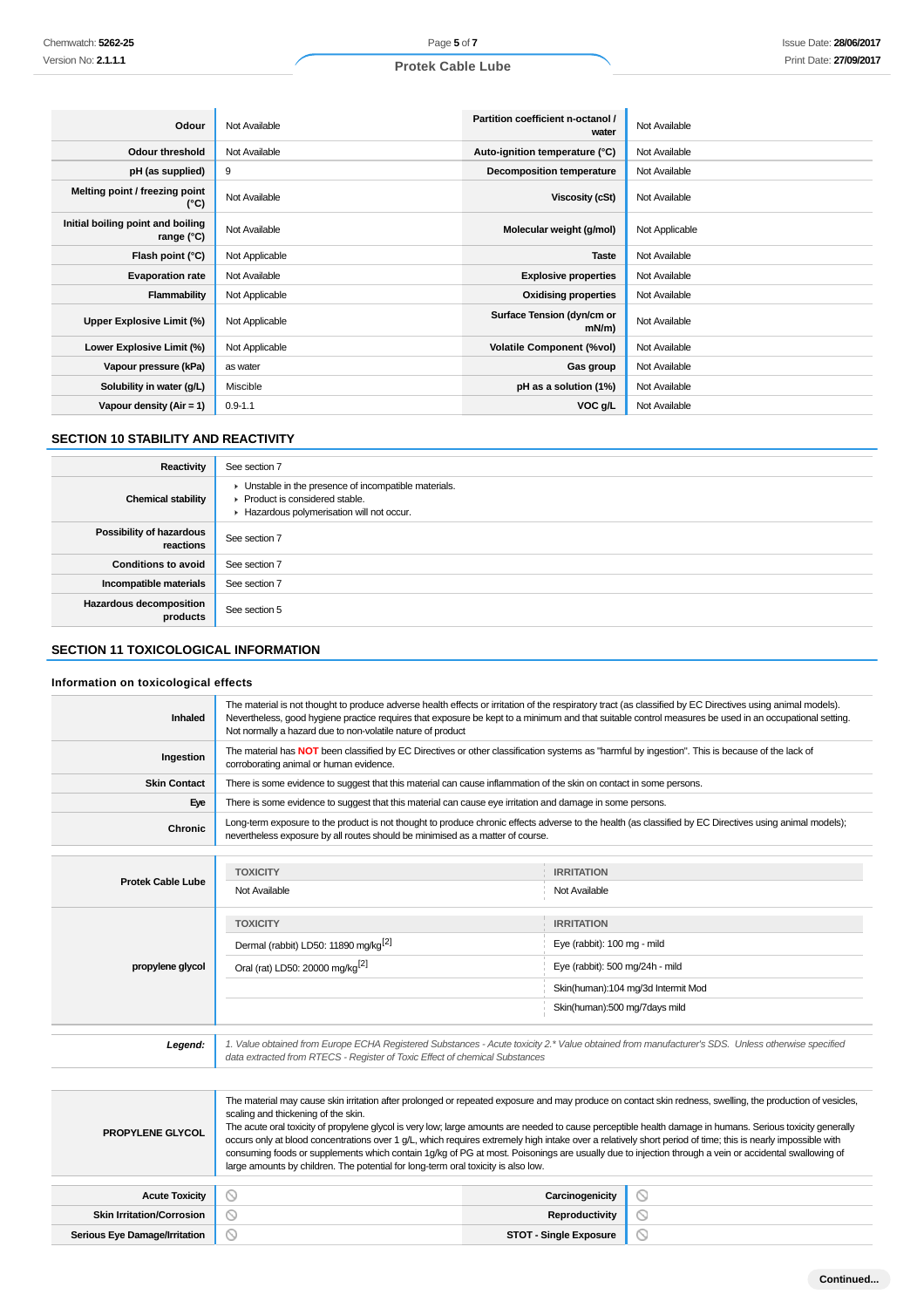# **Protek Cable Lube**

| Odour                                           | Not Available  | Partition coefficient n-octanol /<br>water | Not Available  |
|-------------------------------------------------|----------------|--------------------------------------------|----------------|
| Odour threshold                                 | Not Available  | Auto-ignition temperature (°C)             | Not Available  |
| pH (as supplied)                                | 9              | <b>Decomposition temperature</b>           | Not Available  |
| Melting point / freezing point<br>(°C)          | Not Available  | Viscosity (cSt)                            | Not Available  |
| Initial boiling point and boiling<br>range (°C) | Not Available  | Molecular weight (g/mol)                   | Not Applicable |
| Flash point (°C)                                | Not Applicable | <b>Taste</b>                               | Not Available  |
| <b>Evaporation rate</b>                         | Not Available  | <b>Explosive properties</b>                | Not Available  |
| Flammability                                    | Not Applicable | <b>Oxidising properties</b>                | Not Available  |
| <b>Upper Explosive Limit (%)</b>                | Not Applicable | Surface Tension (dyn/cm or<br>$mN/m$ )     | Not Available  |
| Lower Explosive Limit (%)                       | Not Applicable | <b>Volatile Component (%vol)</b>           | Not Available  |
| Vapour pressure (kPa)                           | as water       | Gas group                                  | Not Available  |
| Solubility in water (g/L)                       | Miscible       | pH as a solution (1%)                      | Not Available  |
| Vapour density $(Air = 1)$                      | $0.9 - 1.1$    | VOC g/L                                    | Not Available  |

# **SECTION 10 STABILITY AND REACTIVITY**

| Reactivity                                   | See section 7                                                                                                                        |
|----------------------------------------------|--------------------------------------------------------------------------------------------------------------------------------------|
| <b>Chemical stability</b>                    | • Unstable in the presence of incompatible materials.<br>▶ Product is considered stable.<br>Hazardous polymerisation will not occur. |
| <b>Possibility of hazardous</b><br>reactions | See section 7                                                                                                                        |
| <b>Conditions to avoid</b>                   | See section 7                                                                                                                        |
| Incompatible materials                       | See section 7                                                                                                                        |
| <b>Hazardous decomposition</b><br>products   | See section 5                                                                                                                        |

# **SECTION 11 TOXICOLOGICAL INFORMATION**

## **Information on toxicological effects**

| <b>Inhaled</b>                   | The material is not thought to produce adverse health effects or irritation of the respiratory tract (as classified by EC Directives using animal models).<br>Nevertheless, good hygiene practice requires that exposure be kept to a minimum and that suitable control measures be used in an occupational setting.<br>Not normally a hazard due to non-volatile nature of product                                                                                                                                                                                                                                                                                                                                                                                         |                                    |                |
|----------------------------------|-----------------------------------------------------------------------------------------------------------------------------------------------------------------------------------------------------------------------------------------------------------------------------------------------------------------------------------------------------------------------------------------------------------------------------------------------------------------------------------------------------------------------------------------------------------------------------------------------------------------------------------------------------------------------------------------------------------------------------------------------------------------------------|------------------------------------|----------------|
| Ingestion                        | The material has NOT been classified by EC Directives or other classification systems as "harmful by ingestion". This is because of the lack of<br>corroborating animal or human evidence.                                                                                                                                                                                                                                                                                                                                                                                                                                                                                                                                                                                  |                                    |                |
| <b>Skin Contact</b>              | There is some evidence to suggest that this material can cause inflammation of the skin on contact in some persons.                                                                                                                                                                                                                                                                                                                                                                                                                                                                                                                                                                                                                                                         |                                    |                |
| Eye                              | There is some evidence to suggest that this material can cause eye irritation and damage in some persons.                                                                                                                                                                                                                                                                                                                                                                                                                                                                                                                                                                                                                                                                   |                                    |                |
| Chronic                          | Long-term exposure to the product is not thought to produce chronic effects adverse to the health (as classified by EC Directives using animal models);<br>nevertheless exposure by all routes should be minimised as a matter of course.                                                                                                                                                                                                                                                                                                                                                                                                                                                                                                                                   |                                    |                |
|                                  | <b>TOXICITY</b>                                                                                                                                                                                                                                                                                                                                                                                                                                                                                                                                                                                                                                                                                                                                                             | <b>IRRITATION</b>                  |                |
| <b>Protek Cable Lube</b>         | Not Available                                                                                                                                                                                                                                                                                                                                                                                                                                                                                                                                                                                                                                                                                                                                                               | Not Available                      |                |
|                                  | <b>TOXICITY</b>                                                                                                                                                                                                                                                                                                                                                                                                                                                                                                                                                                                                                                                                                                                                                             | <b>IRRITATION</b>                  |                |
|                                  | Dermal (rabbit) LD50: 11890 mg/kg <sup>[2]</sup>                                                                                                                                                                                                                                                                                                                                                                                                                                                                                                                                                                                                                                                                                                                            | Eye (rabbit): 100 mg - mild        |                |
| propylene glycol                 | Oral (rat) LD50: 20000 mg/kg <sup>[2]</sup>                                                                                                                                                                                                                                                                                                                                                                                                                                                                                                                                                                                                                                                                                                                                 | Eye (rabbit): 500 mg/24h - mild    |                |
|                                  |                                                                                                                                                                                                                                                                                                                                                                                                                                                                                                                                                                                                                                                                                                                                                                             | Skin(human):104 mg/3d Intermit Mod |                |
|                                  |                                                                                                                                                                                                                                                                                                                                                                                                                                                                                                                                                                                                                                                                                                                                                                             | Skin(human):500 mg/7days mild      |                |
| Legend:                          | 1. Value obtained from Europe ECHA Registered Substances - Acute toxicity 2.* Value obtained from manufacturer's SDS. Unless otherwise specified                                                                                                                                                                                                                                                                                                                                                                                                                                                                                                                                                                                                                            |                                    |                |
|                                  | data extracted from RTECS - Register of Toxic Effect of chemical Substances                                                                                                                                                                                                                                                                                                                                                                                                                                                                                                                                                                                                                                                                                                 |                                    |                |
|                                  |                                                                                                                                                                                                                                                                                                                                                                                                                                                                                                                                                                                                                                                                                                                                                                             |                                    |                |
| <b>PROPYLENE GLYCOL</b>          | The material may cause skin irritation after prolonged or repeated exposure and may produce on contact skin redness, swelling, the production of vesicles,<br>scaling and thickening of the skin.<br>The acute oral toxicity of propylene glycol is very low; large amounts are needed to cause perceptible health damage in humans. Serious toxicity generally<br>occurs only at blood concentrations over 1 g/L, which requires extremely high intake over a relatively short period of time; this is nearly impossible with<br>consuming foods or supplements which contain 1g/kg of PG at most. Poisonings are usually due to injection through a vein or accidental swallowing of<br>large amounts by children. The potential for long-term oral toxicity is also low. |                                    |                |
| <b>Acute Toxicity</b>            | $\circledcirc$                                                                                                                                                                                                                                                                                                                                                                                                                                                                                                                                                                                                                                                                                                                                                              | Carcinogenicity                    | $\circledcirc$ |
| <b>Skin Irritation/Corrosion</b> | $\circledcirc$                                                                                                                                                                                                                                                                                                                                                                                                                                                                                                                                                                                                                                                                                                                                                              | Reproductivity                     | Ø              |
| Serious Eye Damage/Irritation    | O                                                                                                                                                                                                                                                                                                                                                                                                                                                                                                                                                                                                                                                                                                                                                                           | <b>STOT - Single Exposure</b>      | ◎              |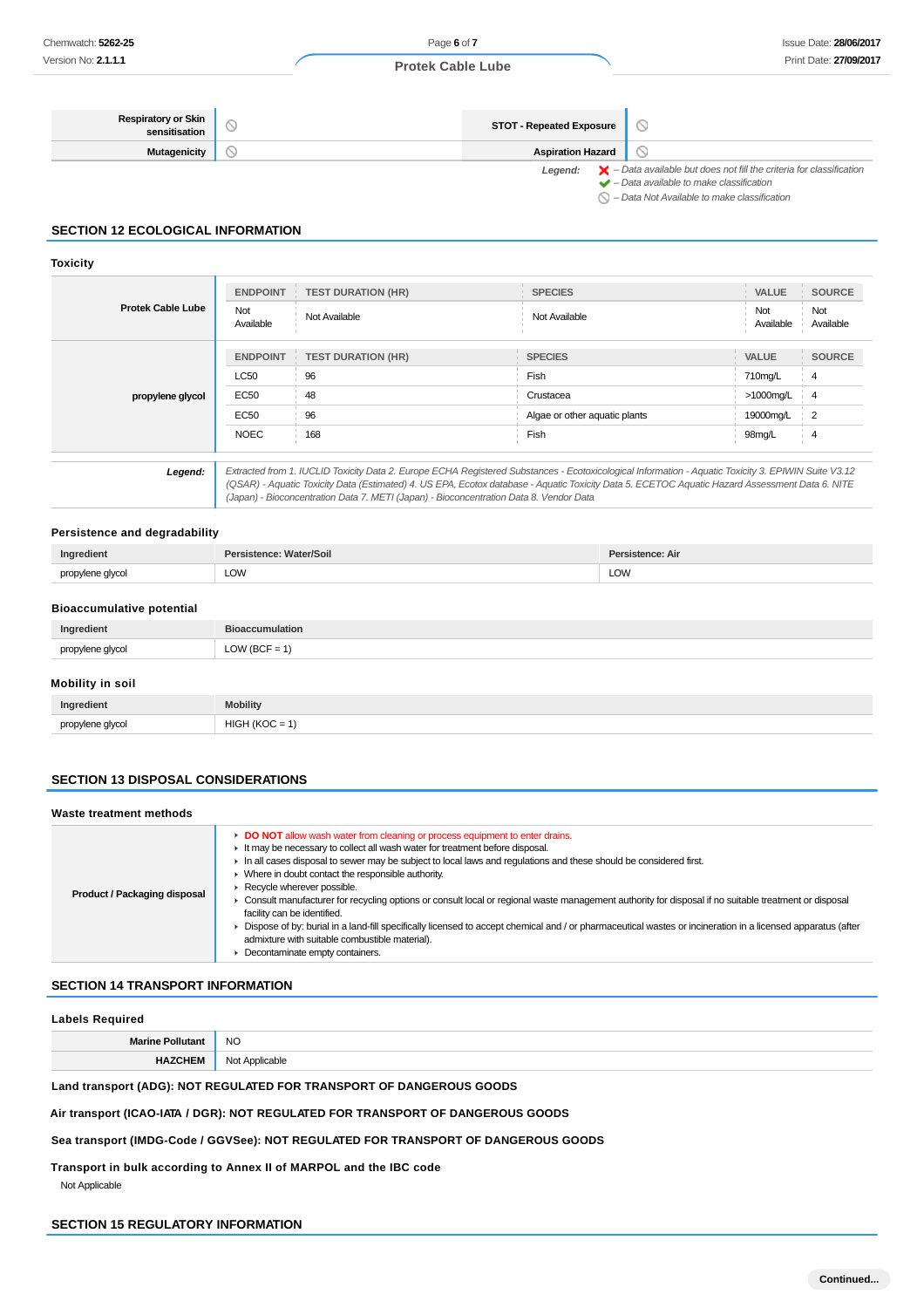#### **Respiratory or Skin**  $\circledcirc$ **STOT - Repeated Exposure Mutagenicity Aspiration Hazard**  $\circlearrowright$ Legend:  $\mathsf{X}$  – Data available but does not fill the criteria for classification  $\blacktriangleright$  – Data available to make classification

 $\bigcirc$  – Data Not Available to make classification

## **SECTION 12 ECOLOGICAL INFORMATION**

## **Toxicity**

|                          | <b>ENDPOINT</b>  | <b>TEST DURATION (HR)</b> | <b>SPECIES</b>                | VALUE            | <b>SOURCE</b>    |
|--------------------------|------------------|---------------------------|-------------------------------|------------------|------------------|
| <b>Protek Cable Lube</b> | Not<br>Available | Not Available             | Not Available                 | Not<br>Available | Not<br>Available |
|                          | <b>ENDPOINT</b>  | <b>TEST DURATION (HR)</b> | <b>SPECIES</b>                | <b>VALUE</b>     | <b>SOURCE</b>    |
|                          | LC50             | 96                        | Fish                          | 710mg/L          | 4                |
| propylene glycol         | <b>EC50</b>      | 48                        | Crustacea                     | >1000mg/L        | -4               |
|                          | <b>EC50</b>      | 96                        | Algae or other aquatic plants | 19000mg/L        | $\overline{2}$   |
|                          | <b>NOEC</b>      | 168                       | Fish                          | 98mg/L           | 4                |
|                          |                  |                           | $\blacksquare$                |                  |                  |

**Legend:** Extracted from 1. IUCLID Toxicity Data 2. Europe ECHA Registered Substances - Ecotoxicological Information - Aquatic Toxicity 3. EPIWIN Suite V3.12 (QSAR) - Aquatic Toxicity Data (Estimated) 4. US EPA, Ecotox database - Aquatic Toxicity Data 5. ECETOC Aquatic Hazard Assessment Data 6. NITE (Japan) - Bioconcentration Data 7. METI (Japan) - Bioconcentration Data 8. Vendor Data

#### **Persistence and degradability**

| Ingredient       | Persistence: Water/Soil | Persistence: Air |
|------------------|-------------------------|------------------|
| propylene glycol | LOW                     | LOW              |
|                  |                         |                  |

#### **Bioaccumulative potential**

| Ingredient       | accumulation                                             |
|------------------|----------------------------------------------------------|
| nropulana alucol | $^{\circ}$ OW (BCF = $\overline{\phantom{a}}$<br>$-\sim$ |

# **Mobility in soil**

| Ingredient       | <b>Mobility</b>                                                               |
|------------------|-------------------------------------------------------------------------------|
| propylene alvcol | <b>HIG!</b><br>$\sqrt{2}$<br>$\overline{\phantom{a}}$<br>=<br>_____<br>$\sim$ |

#### **SECTION 13 DISPOSAL CONSIDERATIONS**

| Waste treatment methods      |
|------------------------------|
| Product / Packaging disposal |

## **SECTION 14 TRANSPORT INFORMATION**

#### **Labels Required**

| ин | NC.    |
|----|--------|
|    | $\sim$ |
|    |        |

# **Land transport (ADG): NOT REGULATED FOR TRANSPORT OF DANGEROUS GOODS**

**Air transport (ICAO-IATA / DGR): NOT REGULATED FOR TRANSPORT OF DANGEROUS GOODS**

## **Sea transport (IMDG-Code / GGVSee): NOT REGULATED FOR TRANSPORT OF DANGEROUS GOODS**

**Transport in bulk according to Annex II of MARPOL and the IBC code** Not Applicable

## **SECTION 15 REGULATORY INFORMATION**